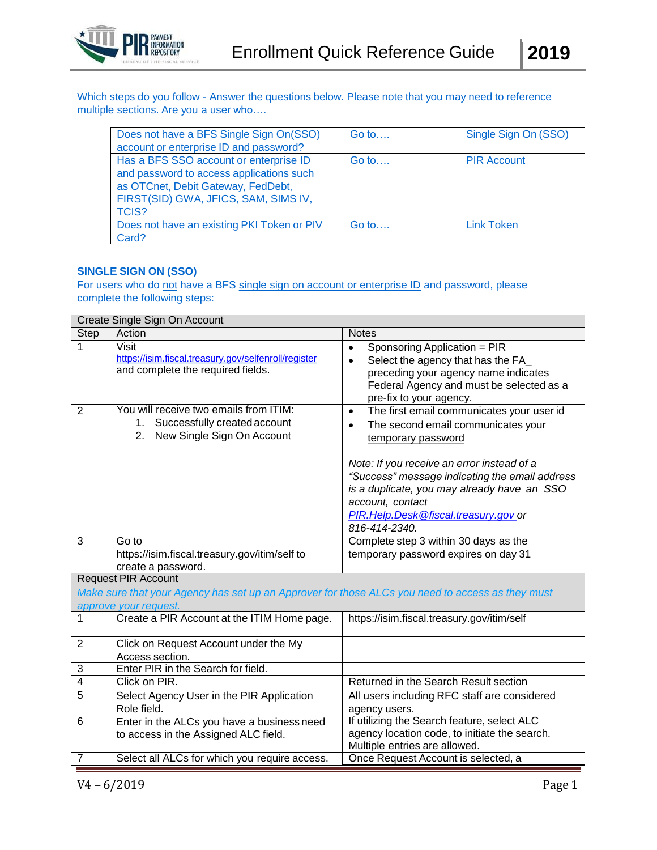

Which steps do you follow - Answer the questions below. Please note that you may need to reference multiple sections. Are you a user who….

| Does not have a BFS Single Sign On(SSO)<br>account or enterprise ID and password?                                                                                         | Go to   | Single Sign On (SSO) |
|---------------------------------------------------------------------------------------------------------------------------------------------------------------------------|---------|----------------------|
| Has a BFS SSO account or enterprise ID<br>and password to access applications such<br>as OTCnet, Debit Gateway, FedDebt,<br>FIRST(SID) GWA, JFICS, SAM, SIMS IV,<br>TCIS? | Go to   | <b>PIR Account</b>   |
| Does not have an existing PKI Token or PIV<br>Card?                                                                                                                       | $Go$ to | Link Token           |

## **SINGLE SIGN ON (SSO)**

For users who do not have a BFS single sign on account or enterprise ID and password, please complete the following steps:

|                | Create Single Sign On Account                                                                                 |                                                                                                                                                                                                                                                                                                                                                             |  |  |
|----------------|---------------------------------------------------------------------------------------------------------------|-------------------------------------------------------------------------------------------------------------------------------------------------------------------------------------------------------------------------------------------------------------------------------------------------------------------------------------------------------------|--|--|
| <b>Step</b>    | Action                                                                                                        | <b>Notes</b>                                                                                                                                                                                                                                                                                                                                                |  |  |
| 1              | <b>Visit</b><br>https://isim.fiscal.treasury.gov/selfenroll/register<br>and complete the required fields.     | Sponsoring Application = PIR<br>$\bullet$<br>Select the agency that has the FA_<br>$\bullet$<br>preceding your agency name indicates<br>Federal Agency and must be selected as a<br>pre-fix to your agency.                                                                                                                                                 |  |  |
| $\overline{2}$ | You will receive two emails from ITIM:<br>1. Successfully created account<br>2.<br>New Single Sign On Account | The first email communicates your user id<br>$\bullet$<br>The second email communicates your<br>$\bullet$<br>temporary password<br>Note: If you receive an error instead of a<br>"Success" message indicating the email address<br>is a duplicate, you may already have an SSO<br>account, contact<br>PIR.Help.Desk@fiscal.treasury.gov_or<br>816-414-2340. |  |  |
| 3              | Go to<br>https://isim.fiscal.treasury.gov/itim/self to<br>create a password.                                  | Complete step 3 within 30 days as the<br>temporary password expires on day 31                                                                                                                                                                                                                                                                               |  |  |
|                | <b>Request PIR Account</b>                                                                                    |                                                                                                                                                                                                                                                                                                                                                             |  |  |
|                | Make sure that your Agency has set up an Approver for those ALCs you need to access as they must              |                                                                                                                                                                                                                                                                                                                                                             |  |  |
|                | approve your request.                                                                                         |                                                                                                                                                                                                                                                                                                                                                             |  |  |
| $\mathbf{1}$   | Create a PIR Account at the ITIM Home page.                                                                   | https://isim.fiscal.treasury.gov/itim/self                                                                                                                                                                                                                                                                                                                  |  |  |
| $\overline{2}$ | Click on Request Account under the My<br>Access section.                                                      |                                                                                                                                                                                                                                                                                                                                                             |  |  |
| $\sqrt{3}$     | Enter PIR in the Search for field.                                                                            |                                                                                                                                                                                                                                                                                                                                                             |  |  |
| $\overline{4}$ | Click on PIR.                                                                                                 | Returned in the Search Result section                                                                                                                                                                                                                                                                                                                       |  |  |
| 5              | Select Agency User in the PIR Application<br>Role field.                                                      | All users including RFC staff are considered<br>agency users.                                                                                                                                                                                                                                                                                               |  |  |
| 6              | Enter in the ALCs you have a business need<br>to access in the Assigned ALC field.                            | If utilizing the Search feature, select ALC<br>agency location code, to initiate the search.<br>Multiple entries are allowed.                                                                                                                                                                                                                               |  |  |
| $\overline{7}$ | Select all ALCs for which you require access.                                                                 | Once Request Account is selected, a                                                                                                                                                                                                                                                                                                                         |  |  |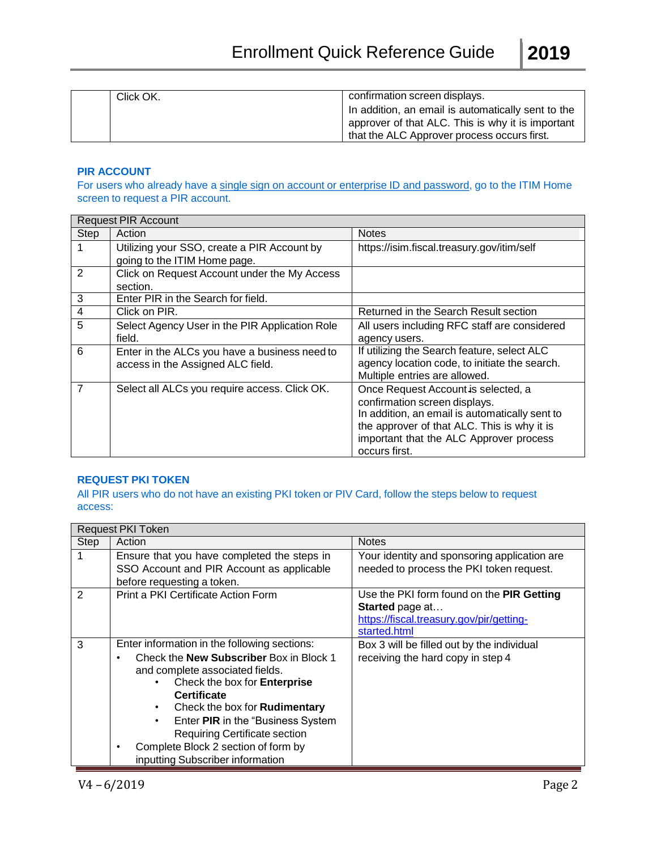| Click OK. | confirmation screen displays.                      |
|-----------|----------------------------------------------------|
|           | In addition, an email is automatically sent to the |
|           | approver of that ALC. This is why it is important  |
|           | that the ALC Approver process occurs first.        |

## **PIR ACCOUNT**

For users who already have a single sign on account or enterprise ID and password, go to the ITIM Home screen to request a PIR account.

|               | <b>Request PIR Account</b>                     |                                                |  |  |
|---------------|------------------------------------------------|------------------------------------------------|--|--|
| Step          | Action                                         | <b>Notes</b>                                   |  |  |
|               | Utilizing your SSO, create a PIR Account by    | https://isim.fiscal.treasury.gov/itim/self     |  |  |
|               | going to the ITIM Home page.                   |                                                |  |  |
| $\mathcal{P}$ | Click on Request Account under the My Access   |                                                |  |  |
|               | section.                                       |                                                |  |  |
| 3             | Enter PIR in the Search for field.             |                                                |  |  |
| 4             | Click on PIR.                                  | Returned in the Search Result section          |  |  |
| 5             | Select Agency User in the PIR Application Role | All users including RFC staff are considered   |  |  |
|               | field.                                         | agency users.                                  |  |  |
| 6             | Enter in the ALCs you have a business need to  | If utilizing the Search feature, select ALC    |  |  |
|               | access in the Assigned ALC field.              | agency location code, to initiate the search.  |  |  |
|               |                                                | Multiple entries are allowed.                  |  |  |
| 7             | Select all ALCs you require access. Click OK.  | Once Request Account is selected, a            |  |  |
|               |                                                | confirmation screen displays.                  |  |  |
|               |                                                | In addition, an email is automatically sent to |  |  |
|               |                                                | the approver of that ALC. This is why it is    |  |  |
|               |                                                | important that the ALC Approver process        |  |  |
|               |                                                | occurs first.                                  |  |  |

## **REQUEST PKI TOKEN**

All PIR users who do not have an existing PKI token or PIV Card, follow the steps below to request access:

|      | <b>Request PKI Token</b>                                                                                                                                                                                                                                                                                                                                                                             |                                                                                                                          |  |
|------|------------------------------------------------------------------------------------------------------------------------------------------------------------------------------------------------------------------------------------------------------------------------------------------------------------------------------------------------------------------------------------------------------|--------------------------------------------------------------------------------------------------------------------------|--|
| Step | Action                                                                                                                                                                                                                                                                                                                                                                                               | <b>Notes</b>                                                                                                             |  |
|      | Ensure that you have completed the steps in<br>SSO Account and PIR Account as applicable<br>before requesting a token.                                                                                                                                                                                                                                                                               | Your identity and sponsoring application are<br>needed to process the PKI token request.                                 |  |
| 2    | Print a PKI Certificate Action Form                                                                                                                                                                                                                                                                                                                                                                  | Use the PKI form found on the PIR Getting<br>Started page at<br>https://fiscal.treasury.gov/pir/getting-<br>started.html |  |
| 3    | Enter information in the following sections:<br>Check the <b>New Subscriber</b> Box in Block 1<br>and complete associated fields.<br>Check the box for Enterprise<br><b>Certificate</b><br>Check the box for Rudimentary<br>$\bullet$<br>Enter PIR in the "Business System"<br>$\bullet$<br>Requiring Certificate section<br>Complete Block 2 section of form by<br>inputting Subscriber information | Box 3 will be filled out by the individual<br>receiving the hard copy in step 4                                          |  |